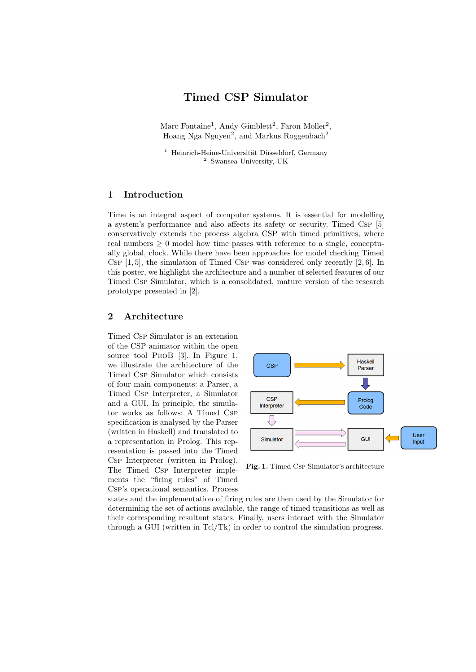# Timed CSP Simulator

Marc Fontaine<sup>1</sup>, Andy Gimblett<sup>2</sup>, Faron Moller<sup>2</sup>, Hoang Nga Nguyen<sup>2</sup>, and Markus Roggenbach<sup>2</sup>

 $1$  Heinrich-Heine-Universität Düsseldorf, Germany <sup>2</sup> Swansea University, UK

#### 1 Introduction

Time is an integral aspect of computer systems. It is essential for modelling a system's performance and also affects its safety or security. Timed Csp [5] conservatively extends the process algebra CSP with timed primitives, where real numbers  $\geq 0$  model how time passes with reference to a single, conceptually global, clock. While there have been approaches for model checking Timed Csp  $[1, 5]$ , the simulation of Timed Csp was considered only recently  $[2, 6]$ . In this poster, we highlight the architecture and a number of selected features of our Timed Csp Simulator, which is a consolidated, mature version of the research prototype presented in [2].

#### 2 Architecture

Timed Csp Simulator is an extension of the CSP animator within the open source tool ProB [3]. In Figure 1, we illustrate the architecture of the Timed Csp Simulator which consists of four main components: a Parser, a Timed Csp Interpreter, a Simulator and a GUI. In principle, the simulator works as follows: A Timed Csp specification is analysed by the Parser (written in Haskell) and translated to a representation in Prolog. This representation is passed into the Timed Csp Interpreter (written in Prolog). The Timed Csp Interpreter implements the "firing rules" of Timed Csp's operational semantics. Process



Fig. 1. Timed Csp Simulator's architecture

states and the implementation of firing rules are then used by the Simulator for determining the set of actions available, the range of timed transitions as well as their corresponding resultant states. Finally, users interact with the Simulator through a GUI (written in Tcl/Tk) in order to control the simulation progress.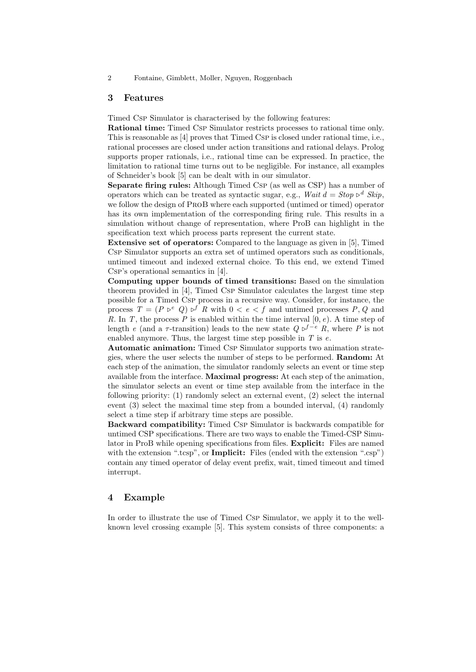2 Fontaine, Gimblett, Moller, Nguyen, Roggenbach

#### 3 Features

Timed Csp Simulator is characterised by the following features:

Rational time: Timed Csp Simulator restricts processes to rational time only. This is reasonable as [4] proves that Timed Csp is closed under rational time, i.e., rational processes are closed under action transitions and rational delays. Prolog supports proper rationals, i.e., rational time can be expressed. In practice, the limitation to rational time turns out to be negligible. For instance, all examples of Schneider's book [5] can be dealt with in our simulator.

Separate firing rules: Although Timed Csp (as well as CSP) has a number of operators which can be treated as syntactic sugar, e.g., Wait  $d = Stop \triangleright^d Skip$ , we follow the design of ProB where each supported (untimed or timed) operator has its own implementation of the corresponding firing rule. This results in a simulation without change of representation, where ProB can highlight in the specification text which process parts represent the current state.

Extensive set of operators: Compared to the language as given in [5], Timed Csp Simulator supports an extra set of untimed operators such as conditionals, untimed timeout and indexed external choice. To this end, we extend Timed Csp's operational semantics in [4].

Computing upper bounds of timed transitions: Based on the simulation theorem provided in [4], Timed Csp Simulator calculates the largest time step possible for a Timed Csp process in a recursive way. Consider, for instance, the process  $T = (P \triangleright^e Q) \triangleright^f R$  with  $0 < e < f$  and untimed processes P, Q and R. In T, the process P is enabled within the time interval  $[0, e)$ . A time step of length e (and a  $\tau$ -transition) leads to the new state  $Q \triangleright^{f-e} R$ , where P is not enabled anymore. Thus, the largest time step possible in  $T$  is  $e$ .

Automatic animation: Timed Csp Simulator supports two animation strategies, where the user selects the number of steps to be performed. Random: At each step of the animation, the simulator randomly selects an event or time step available from the interface. Maximal progress: At each step of the animation, the simulator selects an event or time step available from the interface in the following priority: (1) randomly select an external event, (2) select the internal event (3) select the maximal time step from a bounded interval, (4) randomly select a time step if arbitrary time steps are possible.

Backward compatibility: Timed Csp Simulator is backwards compatible for untimed CSP specifications. There are two ways to enable the Timed-CSP Simulator in ProB while opening specifications from files. **Explicit:** Files are named with the extension ".tcsp", or **Implicit:** Files (ended with the extension ".csp") contain any timed operator of delay event prefix, wait, timed timeout and timed interrupt.

### 4 Example

In order to illustrate the use of Timed Csp Simulator, we apply it to the wellknown level crossing example [5]. This system consists of three components: a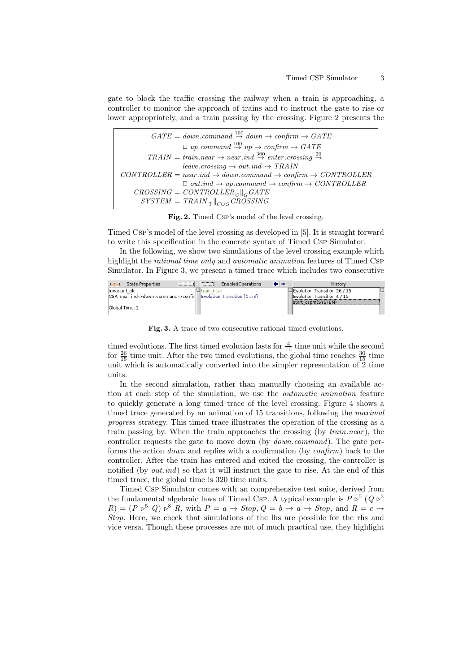gate to block the traffic crossing the railway when a train is approaching, a controller to monitor the approach of trains and to instruct the gate to rise or lower appropriately, and a train passing by the crossing. Figure 2 presents the

| $GATE = downcommand \overset{100}{\rightarrow} down \rightarrow confirm \rightarrow GATE$                          |
|--------------------------------------------------------------------------------------------------------------------|
| $\Box$ up.command $\stackrel{100}{\rightarrow}$ up $\rightarrow$ confirm $\rightarrow$ GATE                        |
| $TRAIN = train.next \rightarrow near.index \stackrel{300}{\rightarrow} enter. crossing \stackrel{20}{\rightarrow}$ |
| $leave. crossing \rightarrow out.ind \rightarrow TRAIN$                                                            |
| $CONTROLLER = near.ind \rightarrow down. command \rightarrow confirm \rightarrow CONTROLLER$                       |
| $\Box$ out.ind $\rightarrow upcommand \rightarrow confirm \rightarrow CONTROLLER$                                  |
| $CROS SING = CONTROLLER_{C}   _{G} GATE$                                                                           |
| $SYSTEM = TRANS_{T}  _{C \cup G} CROS SING$                                                                        |

Fig. 2. Timed Csp's model of the level crossing.

Timed Csp's model of the level crossing as developed in [5]. It is straight forward to write this specification in the concrete syntax of Timed Csp Simulator.

In the following, we show two simulations of the level crossing example which highlight the rational time only and automatic animation features of Timed Csp Simulator. In Figure 3, we present a timed trace which includes two consecutive



Fig. 3. A trace of two consecutive rational timed evolutions.

timed evolutions. The first timed evolution lasts for  $\frac{4}{15}$  time unit while the second for  $\frac{26}{15}$  time unit. After the two timed evolutions, the global time reaches  $\frac{30}{15}$  time unit which is automatically converted into the simpler representation of  $\tilde{2}$  time units.

In the second simulation, rather than manually choosing an available action at each step of the simulation, we use the automatic animation feature to quickly generate a long timed trace of the level crossing. Figure 4 shows a timed trace generated by an animation of 15 transitions, following the *maximal* progress strategy. This timed trace illustrates the operation of the crossing as a train passing by. When the train approaches the crossing (by  $train.next$ ), the controller requests the gate to move down (by *down.command*). The gate performs the action down and replies with a confirmation (by confirm) back to the controller. After the train has entered and exited the crossing, the controller is notified (by  $out-ind$ ) so that it will instruct the gate to rise. At the end of this timed trace, the global time is 320 time units.

Timed Csp Simulator comes with an comprehensive test suite, derived from the fundamental algebraic laws of Timed Csp. A typical example is  $P \triangleright^5 (Q \triangleright^3)$  $R = (P \triangleright^5 Q) \triangleright^8 R$ , with  $P = a \rightarrow Stop$ ,  $Q = b \rightarrow a \rightarrow Stop$ , and  $R = c \rightarrow$ Stop. Here, we check that simulations of the lhs are possible for the rhs and vice versa. Though these processes are not of much practical use, they highlight